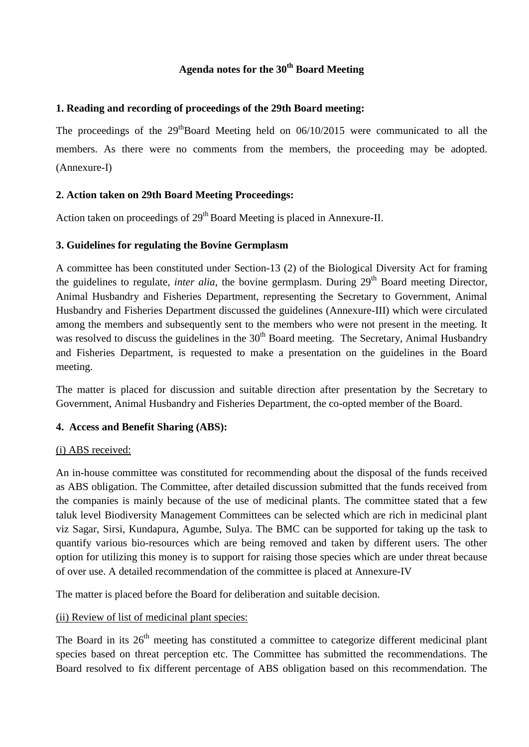# **Agenda notes for the 30th Board Meeting**

### **1. Reading and recording of proceedings of the 29th Board meeting:**

The proceedings of the  $29<sup>th</sup>Board$  Meeting held on 06/10/2015 were communicated to all the members. As there were no comments from the members, the proceeding may be adopted. (Annexure-I)

## **2. Action taken on 29th Board Meeting Proceedings:**

Action taken on proceedings of 29<sup>th</sup> Board Meeting is placed in Annexure-II.

## **3. Guidelines for regulating the Bovine Germplasm**

A committee has been constituted under Section-13 (2) of the Biological Diversity Act for framing the guidelines to regulate, *inter alia*, the bovine germplasm. During 29<sup>th</sup> Board meeting Director, Animal Husbandry and Fisheries Department, representing the Secretary to Government, Animal Husbandry and Fisheries Department discussed the guidelines (Annexure-III) which were circulated among the members and subsequently sent to the members who were not present in the meeting. It was resolved to discuss the guidelines in the  $30<sup>th</sup>$  Board meeting. The Secretary, Animal Husbandry and Fisheries Department, is requested to make a presentation on the guidelines in the Board meeting.

The matter is placed for discussion and suitable direction after presentation by the Secretary to Government, Animal Husbandry and Fisheries Department, the co-opted member of the Board.

### **4. Access and Benefit Sharing (ABS):**

### (i) ABS received:

An in-house committee was constituted for recommending about the disposal of the funds received as ABS obligation. The Committee, after detailed discussion submitted that the funds received from the companies is mainly because of the use of medicinal plants. The committee stated that a few taluk level Biodiversity Management Committees can be selected which are rich in medicinal plant viz Sagar, Sirsi, Kundapura, Agumbe, Sulya. The BMC can be supported for taking up the task to quantify various bio-resources which are being removed and taken by different users. The other option for utilizing this money is to support for raising those species which are under threat because of over use. A detailed recommendation of the committee is placed at Annexure-IV

The matter is placed before the Board for deliberation and suitable decision.

### (ii) Review of list of medicinal plant species:

The Board in its  $26<sup>th</sup>$  meeting has constituted a committee to categorize different medicinal plant species based on threat perception etc. The Committee has submitted the recommendations. The Board resolved to fix different percentage of ABS obligation based on this recommendation. The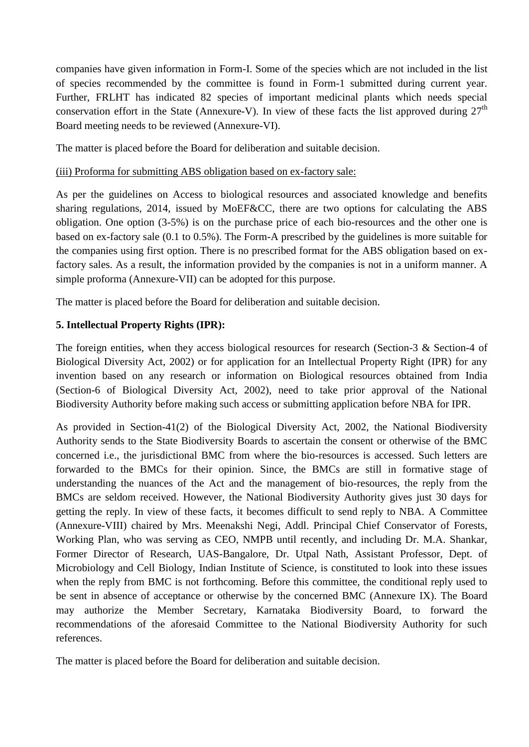companies have given information in Form-I. Some of the species which are not included in the list of species recommended by the committee is found in Form-1 submitted during current year. Further, FRLHT has indicated 82 species of important medicinal plants which needs special conservation effort in the State (Annexure-V). In view of these facts the list approved during  $27<sup>th</sup>$ Board meeting needs to be reviewed (Annexure-VI).

The matter is placed before the Board for deliberation and suitable decision.

### (iii) Proforma for submitting ABS obligation based on ex-factory sale:

As per the guidelines on Access to biological resources and associated knowledge and benefits sharing regulations, 2014, issued by MoEF&CC, there are two options for calculating the ABS obligation. One option (3-5%) is on the purchase price of each bio-resources and the other one is based on ex-factory sale (0.1 to 0.5%). The Form-A prescribed by the guidelines is more suitable for the companies using first option. There is no prescribed format for the ABS obligation based on exfactory sales. As a result, the information provided by the companies is not in a uniform manner. A simple proforma (Annexure-VII) can be adopted for this purpose.

The matter is placed before the Board for deliberation and suitable decision.

## **5. Intellectual Property Rights (IPR):**

The foreign entities, when they access biological resources for research (Section-3 & Section-4 of Biological Diversity Act, 2002) or for application for an Intellectual Property Right (IPR) for any invention based on any research or information on Biological resources obtained from India (Section-6 of Biological Diversity Act, 2002), need to take prior approval of the National Biodiversity Authority before making such access or submitting application before NBA for IPR.

As provided in Section-41(2) of the Biological Diversity Act, 2002, the National Biodiversity Authority sends to the State Biodiversity Boards to ascertain the consent or otherwise of the BMC concerned i.e., the jurisdictional BMC from where the bio-resources is accessed. Such letters are forwarded to the BMCs for their opinion. Since, the BMCs are still in formative stage of understanding the nuances of the Act and the management of bio-resources, the reply from the BMCs are seldom received. However, the National Biodiversity Authority gives just 30 days for getting the reply. In view of these facts, it becomes difficult to send reply to NBA. A Committee (Annexure-VIII) chaired by Mrs. Meenakshi Negi, Addl. Principal Chief Conservator of Forests, Working Plan, who was serving as CEO, NMPB until recently, and including Dr. M.A. Shankar, Former Director of Research, UAS-Bangalore, Dr. Utpal Nath, Assistant Professor, Dept. of Microbiology and Cell Biology, Indian Institute of Science, is constituted to look into these issues when the reply from BMC is not forthcoming. Before this committee, the conditional reply used to be sent in absence of acceptance or otherwise by the concerned BMC (Annexure IX). The Board may authorize the Member Secretary, Karnataka Biodiversity Board, to forward the recommendations of the aforesaid Committee to the National Biodiversity Authority for such references.

The matter is placed before the Board for deliberation and suitable decision.